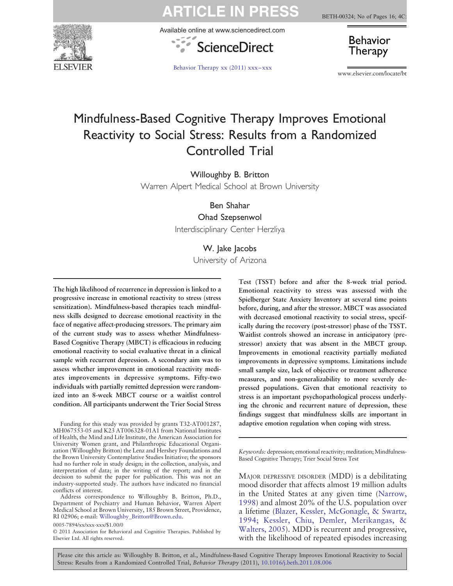

Available online at www.sciencedirect.com



BETH-00324; No of Pages 16; 4C:



[Behavior Therapy xx \(2011\) xxx](http://dx.doi.org/)–xxx www.elsevier.com/locate/bt

# Mindfulness-Based Cognitive Therapy Improves Emotional Reactivity to Social Stress: Results from a Randomized Controlled Trial

Willoughby B. Britton

Warren Alpert Medical School at Brown University

Ben Shahar

Ohad Szepsenwol

Interdisciplinary Center Herzliya

### W. Jake Jacobs

University of Arizona

The high likelihood of recurrence in depression is linked to a progressive increase in emotional reactivity to stress (stress sensitization). Mindfulness-based therapies teach mindfulness skills designed to decrease emotional reactivity in the face of negative affect-producing stressors. The primary aim of the current study was to assess whether Mindfulness-Based Cognitive Therapy (MBCT) is efficacious in reducing emotional reactivity to social evaluative threat in a clinical sample with recurrent depression. A secondary aim was to assess whether improvement in emotional reactivity mediates improvements in depressive symptoms. Fifty-two individuals with partially remitted depression were randomized into an 8-week MBCT course or a waitlist control condition. All participants underwent the Trier Social Stress

Funding for this study was provided by grants T32-AT001287, MH067553-05 and K23 AT006328-01A1 from National Institutes of Health, the Mind and Life Institute, the American Association for University Women grant, and Philanthropic Educational Organization (Willoughby Britton) the Lenz and Hershey Foundations and the Brown University Contemplative Studies Initiative; the sponsors had no further role in study design; in the collection, analysis, and interpretation of data; in the writing of the report; and in the decision to submit the paper for publication. This was not an industry-supported study. The authors have indicated no financial conflicts of interest.

Address correspondence to Willoughby B. Britton, Ph.D., Department of Psychiatry and Human Behavior, Warren Alpert Medical School at Brown University, 185 Brown Street, Providence, RI 02906; e-mail: [Willoughby\\_Britton@Brown.edu.](mailto:Willoughby_Britton@Brown.edu)

0005-7894/xx/xxx-xxx/\$1.00/0

© 2011 Association for Behavioral and Cognitive Therapies. Published by Elsevier Ltd. All rights reserved.

Test (TSST) before and after the 8-week trial period. Emotional reactivity to stress was assessed with the Spielberger State Anxiety Inventory at several time points before, during, and after the stressor. MBCT was associated with decreased emotional reactivity to social stress, specifically during the recovery (post-stressor) phase of the TSST. Waitlist controls showed an increase in anticipatory (prestressor) anxiety that was absent in the MBCT group. Improvements in emotional reactivity partially mediated improvements in depressive symptoms. Limitations include small sample size, lack of objective or treatment adherence measures, and non-generalizability to more severely depressed populations. Given that emotional reactivity to stress is an important psychopathological process underlying the chronic and recurrent nature of depression, these findings suggest that mindfulness skills are important in adaptive emotion regulation when coping with stress.

Keywords: depression; emotional reactivity; meditation; Mindfulness-Based Cognitive Therapy; Trier Social Stress Test

MAJOR DEPRESSIVE DISORDER (MDD) is a debilitating mood disorder that affects almost 19 million adults in the United States at any given time [\(Narrow,](#page-14-0) [1998\)](#page-14-0) and almost 20% of the U.S. population over a lifetime ([Blazer, Kessler, McGonagle, & Swartz,](#page-11-0) [1994; Kessler, Chiu, Demler, Merikangas, &](#page-11-0) [Walters, 2005\)](#page-11-0). MDD is recurrent and progressive, with the likelihood of repeated episodes increasing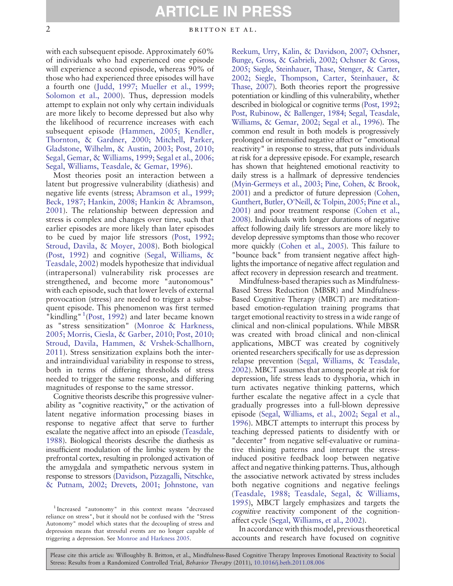### 2 **britton et al. britton et al.**

with each subsequent episode. Approximately 60% of individuals who had experienced one episode will experience a second episode, whereas 90% of those who had experienced three episodes will have a fourth one ([Judd, 1997; Mueller et al., 1999;](#page-13-0) [Solomon et al., 2000\)](#page-13-0). Thus, depression models attempt to explain not only why certain individuals are more likely to become depressed but also why the likelihood of recurrence increases with each subsequent episode ([Hammen, 2005; Kendler,](#page-13-0) [Thornton, & Gardner, 2000; Mitchell, Parker,](#page-13-0) [Gladstone, Wilhelm, & Austin, 2003; Post, 2010;](#page-13-0) [Segal, Gemar, & Williams, 1999; Segal et al., 2006;](#page-13-0) [Segal, Williams, Teasdale, & Gemar, 1996](#page-13-0)).

Most theories posit an interaction between a latent but progressive vulnerability (diathesis) and negative life events (stress; [Abramson et al., 1999;](#page-11-0) [Beck, 1987; Hankin, 2008; Hankin & Abramson,](#page-11-0) [2001](#page-11-0)). The relationship between depression and stress is complex and changes over time, such that earlier episodes are more likely than later episodes to be cued by major life stressors ([Post, 1992;](#page-14-0) [Stroud, Davila, & Moyer, 2008\)](#page-14-0). Both biological [\(Post, 1992](#page-14-0)) and cognitive ([Segal, Williams, &](#page-15-0) [Teasdale, 2002\)](#page-15-0) models hypothesize that individual (intrapersonal) vulnerability risk processes are strengthened, and become more "autonomous" with each episode, such that lower levels of external provocation (stress) are needed to trigger a subsequent episode. This phenomenon was first termed "kindling"<sup>1</sup>[\(Post, 1992](#page-14-0)) and later became known as "stress sensitization" ([Monroe & Harkness,](#page-14-0) [2005; Morris, Ciesla, & Garber, 2010; Post, 2010;](#page-14-0) [Stroud, Davila, Hammen, & Vrshek-Schallhorn,](#page-14-0) [2011](#page-14-0)). Stress sensitization explains both the interand intraindividual variability in response to stress, both in terms of differing thresholds of stress needed to trigger the same response, and differing magnitudes of response to the same stressor.

Cognitive theorists describe this progressive vulnerability as "cognitive reactivity," or the activation of latent negative information processing biases in response to negative affect that serve to further escalate the negative affect into an episode [\(Teasdale,](#page-15-0) [1988](#page-15-0)). Biological theorists describe the diathesis as insufficient modulation of the limbic system by the prefrontal cortex, resulting in prolonged activation of the amygdala and sympathetic nervous system in response to stressors [\(Davidson, Pizzagalli, Nitschke,](#page-12-0) [& Putnam, 2002; Drevets, 2001; Johnstone, van](#page-12-0)

[Reekum, Urry, Kalin, & Davidson, 2007; Ochsner,](#page-12-0) [Bunge, Gross, & Gabrieli, 2002; Ochsner & Gross,](#page-12-0) [2005; Siegle, Steinhauer, Thase, Stenger, & Carter,](#page-12-0) [2002; Siegle, Thompson, Carter, Steinhauer, &](#page-12-0) [Thase, 2007](#page-12-0)). Both theories report the progressive potentiation or kindling of this vulnerability, whether described in biological or cognitive terms [\(Post, 1992;](#page-14-0) [Post, Rubinow, & Ballenger, 1984; Segal, Teasdale,](#page-14-0) [Williams, & Gemar, 2002; Segal et al., 1996\)](#page-14-0). The common end result in both models is progressively prolonged or intensified negative affect or "emotional reactivity" in response to stress, that puts individuals at risk for a depressive episode. For example, research has shown that heightened emotional reactivity to daily stress is a hallmark of depressive tendencies [\(Myin-Germeys et al., 2003; Pine, Cohen, & Brook,](#page-14-0) [2001](#page-14-0)) and a predictor of future depression [\(Cohen,](#page-12-0) [Gunthert, Butler, O'Neill, & Tolpin, 2005; Pine et al.,](#page-12-0) [2001](#page-12-0)) and poor treatment response [\(Cohen et al.,](#page-12-0) [2008](#page-12-0)). Individuals with longer durations of negative affect following daily life stressors are more likely to develop depressive symptoms than those who recover more quickly ([Cohen et al., 2005](#page-12-0)). This failure to "bounce back" from transient negative affect highlights the importance of negative affect regulation and affect recovery in depression research and treatment.

Mindfulness-based therapies such as Mindfulness-Based Stress Reduction (MBSR) and Mindfulness-Based Cognitive Therapy (MBCT) are meditationbased emotion-regulation training programs that target emotional reactivity to stress in a wide range of clinical and non-clinical populations. While MBSR was created with broad clinical and non-clinical applications, MBCT was created by cognitively oriented researchers specifically for use as depression relapse prevention [\(Segal, Williams, & Teasdale,](#page-15-0) [2002\)](#page-15-0). MBCT assumes that among people at risk for depression, life stress leads to dysphoria, which in turn activates negative thinking patterns, which further escalate the negative affect in a cycle that gradually progresses into a full-blown depressive episode [\(Segal, Williams, et al., 2002; Segal et al.,](#page-15-0) [1996\)](#page-15-0). MBCT attempts to interrupt this process by teaching depressed patients to disidentfy with or "decenter" from negative self-evaluative or ruminative thinking patterns and interrupt the stressinduced positive feedback loop between negative affect and negative thinking patterns. Thus, although the associative network activated by stress includes both negative cognitions and negative feelings ([Teasdale, 1988; Teasdale, Segal, & Williams,](#page-15-0) [1995\)](#page-15-0), MBCT largely emphasizes and targets the cognitive reactivity component of the cognitionaffect cycle [\(Segal, Williams, et al., 2002](#page-15-0)).

In accordance with this model, previous theoretical accounts and research have focused on cognitive

<sup>1</sup> Increased "autonomy" in this context means "decreased reliance on stress", but it should not be confused with the "Stress Autonomy" model which states that the decoupling of stress and depression means that stressful events are no longer capable of triggering a depression. See [Monroe and Harkness 2005](#page-14-0).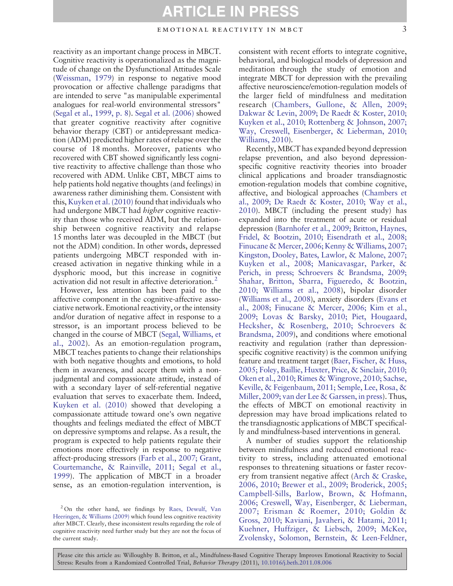#### emotional reactivity in mbct 3

reactivity as an important change process in MBCT. Cognitive reactivity is operationalized as the magnitude of change on the Dysfunctional Attitudes Scale [\(Weissman, 1979\)](#page-15-0) in response to negative mood provocation or affective challenge paradigms that are intended to serve "as manipulable experimental analogues for real-world environmental stressors" [\(Segal et al., 1999, p. 8\)](#page-14-0). [Segal et al. \(2006\)](#page-15-0) showed that greater cognitive reactivity after cognitive behavior therapy (CBT) or antidepressant medication (ADM) predicted higher rates of relapse over the course of 18 months. Moreover, patients who recovered with CBT showed significantly less cognitive reactivity to affective challenge than those who recovered with ADM. Unlike CBT, MBCT aims to help patients hold negative thoughts (and feelings) in awareness rather diminishing them. Consistent with this, [Kuyken et al. \(2010\)](#page-13-0) found that individuals who had undergone MBCT had higher cognitive reactivity than those who received ADM, but the relationship between cognitive reactivity and relapse 15 months later was decoupled in the MBCT (but not the ADM) condition. In other words, depressed patients undergoing MBCT responded with increased activation in negative thinking while in a dysphoric mood, but this increase in cognitive activation did not result in affective deterioration.<sup>2</sup>

However, less attention has been paid to the affective component in the cognitive-affective associative network. Emotional reactivity, or the intensity and/or duration of negative affect in response to a stressor, is an important process believed to be changed in the course of MBCT [\(Segal, Williams, et](#page-15-0) [al., 2002](#page-15-0)). As an emotion-regulation program, MBCT teaches patients to change their relationships with both negative thoughts and emotions, to hold them in awareness, and accept them with a nonjudgmental and compassionate attitude, instead of with a secondary layer of self-referential negative evaluation that serves to exacerbate them. Indeed, [Kuyken et al. \(2010\)](#page-13-0) showed that developing a compassionate attitude toward one's own negative thoughts and feelings mediated the effect of MBCT on depressive symptoms and relapse. As a result, the program is expected to help patients regulate their emotions more effectively in response to negative affect-producing stressors [\(Farb et al., 2007; Grant,](#page-12-0) [Courtemanche, & Rainville, 2011; Segal et al.,](#page-12-0) [1999\)](#page-12-0). The application of MBCT in a broader sense, as an emotion-regulation intervention, is

<sup>2</sup> On the other hand, see findings by [Raes, Dewulf, Van](#page-14-0) [Heeringen, & Williams \(2009\)](#page-14-0) which found less cognitive reactivity after MBCT. Clearly, these inconsistent results regarding the role of cognitive reactivity need further study but they are not the focus of the current study.

consistent with recent efforts to integrate cognitive, behavioral, and biological models of depression and meditation through the study of emotion and integrate MBCT for depression with the prevailing affective neuroscience/emotion-regulation models of the larger field of mindfulness and meditation research ([Chambers, Gullone, & Allen, 2009;](#page-12-0) [Dakwar & Levin, 2009; De Raedt & Koster, 2010;](#page-12-0) [Kuyken et al., 2010; Rottenberg & Johnson, 2007;](#page-12-0) [Way, Creswell, Eisenberger, & Lieberman, 2010;](#page-12-0) [Williams, 2010\)](#page-12-0).

Recently, MBCT has expanded beyond depression relapse prevention, and also beyond depressionspecific cognitive reactivity theories into broader clinical applications and broader transdiagnostic emotion-regulation models that combine cognitive, affective, and biological approaches ([Chambers et](#page-12-0) [al., 2009; De Raedt & Koster, 2010; Way et al.,](#page-12-0) [2010](#page-12-0)). MBCT (including the present study) has expanded into the treatment of acute or residual depression [\(Barnhofer et al., 2009; Britton, Haynes,](#page-11-0) [Fridel, & Bootzin, 2010; Eisendrath et al., 2008;](#page-11-0) Finucane & Mercer, 2006; Kenny & Williams, 2007; [Kingston, Dooley, Bates, Lawlor, & Malone, 2007;](#page-11-0) [Kuyken et al., 2008; Manicavasgar, Parker, &](#page-11-0) [Perich, in press; Schroevers & Brandsma, 2009;](#page-11-0) [Shahar, Britton, Sbarra, Figueredo, & Bootzin,](#page-11-0) [2010; Williams et al., 2008\)](#page-11-0), bipolar disorder [\(Williams et al., 2008\)](#page-15-0), anxiety disorders [\(Evans et](#page-12-0) [al., 2008; Finucane & Mercer, 2006; Kim et al.,](#page-12-0) [2009; Lovas & Barsky, 2010; Piet, Hougaard,](#page-12-0) [Hecksher, & Rosenberg, 2010; Schroevers &](#page-12-0) [Brandsma, 2009](#page-12-0)), and conditions where emotional reactivity and regulation (rather than depressionspecific cognitive reactivity) is the common unifying feature and treatment target [\(Baer, Fischer, & Huss,](#page-11-0) [2005; Foley, Baillie, Huxter, Price, & Sinclair, 2010;](#page-11-0) [Oken et al., 2010; Rimes & Wingrove, 2010; Sachse,](#page-11-0) [Keville, & Feigenbaum, 2011; Semple, Lee, Rosa, &](#page-11-0) [Miller, 2009; van der Lee & Garssen, in press](#page-11-0)). Thus, the effects of MBCT on emotional reactivity in depression may have broad implications related to the transdiagnostic applications of MBCT specifically and mindfulness-based interventions in general.

A number of studies support the relationship between mindfulness and reduced emotional reactivity to stress, including attenuated emotional responses to threatening situations or faster recovery from transient negative affect ([Arch & Craske,](#page-11-0) [2006, 2010; Brewer et al., 2009; Broderick, 2005;](#page-11-0) [Campbell-Sills, Barlow, Brown, & Hofmann,](#page-11-0) [2006; Creswell, Way, Eisenberger, & Lieberman,](#page-11-0) [2007; Erisman & Roemer, 2010; Goldin &](#page-11-0) [Gross, 2010; Kaviani, Javaheri, & Hatami, 2011;](#page-11-0) [Kuehner, Huffziger, & Liebsch, 2009; McKee,](#page-11-0) [Zvolensky, Solomon, Bernstein, & Leen-Feldner,](#page-11-0)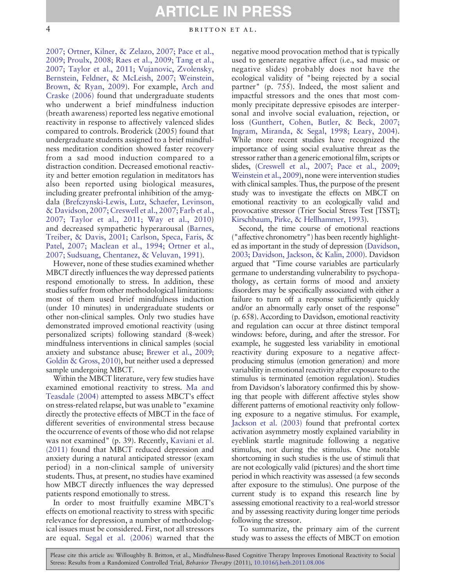### 4 **britton et al. britton et al.**

[2007; Ortner, Kilner, & Zelazo, 2007; Pace et al.,](#page-11-0) [2009; Proulx, 2008; Raes et al., 2009; Tang et al.,](#page-11-0) [2007; Taylor et al., 2011; Vujanovic, Zvolensky,](#page-11-0) [Bernstein, Feldner, & McLeish, 2007; Weinstein,](#page-11-0) [Brown, & Ryan, 2009](#page-11-0)). For example, [Arch and](#page-11-0) [Craske \(2006\)](#page-11-0) found that undergraduate students who underwent a brief mindfulness induction (breath awareness) reported less negative emotional reactivity in response to affectively valenced slides compared to controls. Broderick (2005) found that undergraduate students assigned to a brief mindfulness meditation condition showed faster recovery from a sad mood induction compared to a distraction condition. Decreased emotional reactivity and better emotion regulation in meditators has also been reported using biological measures, including greater prefrontal inhibition of the amygdala [\(Brefczynski-Lewis, Lutz, Schaefer, Levinson,](#page-11-0) [& Davidson, 2007; Creswell et al., 2007; Farb et al.,](#page-11-0) [2007; Taylor et al., 2011; Way et al., 2010\)](#page-11-0) and decreased sympathetic hyperarousal [\(Barnes,](#page-11-0) [Treiber, & Davis, 2001; Carlson, Speca, Faris, &](#page-11-0) [Patel, 2007; Maclean et al., 1994; Ortner et al.,](#page-11-0) [2007; Sudsuang, Chentanez, & Veluvan, 1991](#page-11-0)).

However, none of these studies examined whether MBCT directly influences the way depressed patients respond emotionally to stress. In addition, these studies suffer from other methodological limitations: most of them used brief mindfulness induction (under 10 minutes) in undergraduate students or other non-clinical samples. Only two studies have demonstrated improved emotional reactivity (using personalized scripts) following standard (8-week) mindfulness interventions in clinical samples (social anxiety and substance abuse; [Brewer et al., 2009;](#page-11-0) [Goldin & Gross, 2010\)](#page-11-0), but neither used a depressed sample undergoing MBCT.

Within the MBCT literature, very few studies have examined emotional reactivity to stress. [Ma and](#page-13-0) [Teasdale \(2004\)](#page-13-0) attempted to assess MBCT's effect on stress-related relapse, but was unable to "examine directly the protective effects of MBCT in the face of different severities of environmental stress because the occurrence of events of those who did not relapse was not examined" (p. 39). Recently, [Kaviani et al.](#page-13-0) [\(2011\)](#page-13-0) found that MBCT reduced depression and anxiety during a natural anticipated stressor (exam period) in a non-clinical sample of university students. Thus, at present, no studies have examined how MBCT directly influences the way depressed patients respond emotionally to stress.

In order to most fruitfully examine MBCT's effects on emotional reactivity to stress with specific relevance for depression, a number of methodological issues must be considered. First, not all stressors are equal. [Segal et al. \(2006\)](#page-15-0) warned that the negative mood provocation method that is typically used to generate negative affect (i.e., sad music or negative slides) probably does not have the ecological validity of "being rejected by a social partner" (p. 755). Indeed, the most salient and impactful stressors and the ones that most commonly precipitate depressive episodes are interpersonal and involve social evaluation, rejection, or loss [\(Gunthert, Cohen, Butler, & Beck, 2007;](#page-13-0) [Ingram, Miranda, & Segal, 1998; Leary, 2004](#page-13-0)). While more recent studies have recognized the importance of using social evaluative threat as the stressor rather than a generic emotional film, scripts or slides, [\(Creswell et al., 2007; Pace et al., 2009;](#page-12-0) [Weinstein et al., 2009](#page-12-0)), none were intervention studies with clinical samples. Thus, the purpose of the present study was to investigate the effects on MBCT on emotional reactivity to an ecologically valid and provocative stressor (Trier Social Stress Test [TSST]; [Kirschbaum, Pirke, & Hellhammer, 1993](#page-13-0)).

Second, the time course of emotional reactions ("affective chronometry") has been recently highlighted as important in the study of depression [\(Davidson,](#page-12-0) [2003; Davidson, Jackson, & Kalin, 2000](#page-12-0)). Davidson argued that "Time course variables are particularly germane to understanding vulnerability to psychopathology, as certain forms of mood and anxiety disorders may be specifically associated with either a failure to turn off a response sufficiently quickly and/or an abnormally early onset of the response" (p. 658). According to Davidson, emotional reactivity and regulation can occur at three distinct temporal windows: before, during, and after the stressor. For example, he suggested less variability in emotional reactivity during exposure to a negative affectproducing stimulus (emotion generation) and more variability in emotional reactivity after exposure to the stimulus is terminated (emotion regulation). Studies from Davidson's laboratory confirmed this by showing that people with different affective styles show different patterns of emotional reactivity only following exposure to a negative stimulus. For example, [Jackson et al. \(2003\)](#page-13-0) found that prefrontal cortex activation asymmetry mostly explained variability in eyeblink startle magnitude following a negative stimulus, not during the stimulus. One notable shortcoming in such studies is the use of stimuli that are not ecologically valid (pictures) and the short time period in which reactivity was assessed (a few seconds after exposure to the stimulus). One purpose of the current study is to expand this research line by assessing emotional reactivity to a real-world stressor and by assessing reactivity during longer time periods following the stressor.

To summarize, the primary aim of the current study was to assess the effects of MBCT on emotion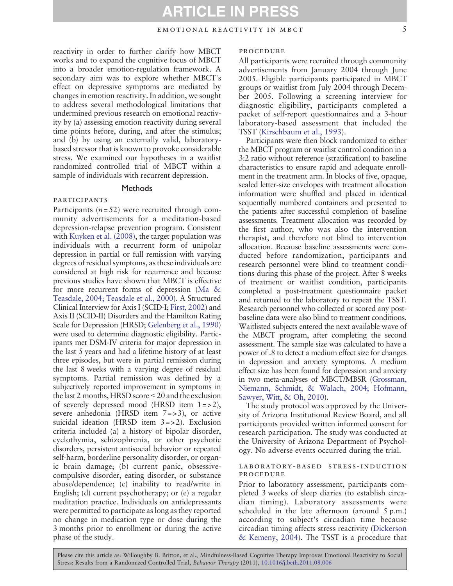#### emotional reactivity in MBCT 5

reactivity in order to further clarify how MBCT works and to expand the cognitive focus of MBCT into a broader emotion-regulation framework. A secondary aim was to explore whether MBCT's effect on depressive symptoms are mediated by changes in emotion reactivity. In addition, we sought to address several methodological limitations that undermined previous research on emotional reactivity by (a) assessing emotion reactivity during several time points before, during, and after the stimulus; and (b) by using an externally valid, laboratorybased stressor that is known to provoke considerable stress. We examined our hypotheses in a waitlist randomized controlled trial of MBCT within a sample of individuals with recurrent depression.

#### **Methods**

### participants

Participants ( $n = 52$ ) were recruited through community advertisements for a meditation-based depression-relapse prevention program. Consistent with [Kuyken et al. \(2008\),](#page-13-0) the target population was individuals with a recurrent form of unipolar depression in partial or full remission with varying degrees of residual symptoms, as these individuals are considered at high risk for recurrence and because previous studies have shown that MBCT is effective for more recurrent forms of depression [\(Ma &](#page-13-0) [Teasdale, 2004; Teasdale et al., 2000](#page-13-0)). A Structured Clinical Interview for Axis I (SCID-I; [First, 2002](#page-12-0)) and Axis II (SCID-II) Disorders and the Hamilton Rating Scale for Depression (HRSD; [Gelenberg et al., 1990](#page-12-0)) were used to determine diagnostic eligibility. Participants met DSM-IV criteria for major depression in the last 5 years and had a lifetime history of at least three episodes, but were in partial remission during the last 8 weeks with a varying degree of residual symptoms. Partial remission was defined by a subjectively reported improvement in symptoms in the last 2 months, HRSD score  $\leq 20$  and the exclusion of severely depressed mood (HRSD item 1=>2), severe anhedonia (HRSD item 7=>3), or active suicidal ideation (HRSD item  $3 = > 2$ ). Exclusion criteria included (a) a history of bipolar disorder, cyclothymia, schizophrenia, or other psychotic disorders, persistent antisocial behavior or repeated self-harm, borderline personality disorder, or organic brain damage; (b) current panic, obsessivecompulsive disorder, eating disorder, or substance abuse/dependence; (c) inability to read/write in English; (d) current psychotherapy; or (e) a regular meditation practice. Individuals on antidepressants were permitted to participate as long as they reported no change in medication type or dose during the 3 months prior to enrollment or during the active phase of the study.

#### procedure

All participants were recruited through community advertisements from January 2004 through June 2005. Eligible participants participated in MBCT groups or waitlist from July 2004 through December 2005. Following a screening interview for diagnostic eligibility, participants completed a packet of self-report questionnaires and a 3-hour laboratory-based assessment that included the TSST [\(Kirschbaum et al., 1993\)](#page-13-0).

Participants were then block randomized to either the MBCT program or waitlist control condition in a 3:2 ratio without reference (stratification) to baseline characteristics to ensure rapid and adequate enrollment in the treatment arm. In blocks of five, opaque, sealed letter-size envelopes with treatment allocation information were shuffled and placed in identical sequentially numbered containers and presented to the patients after successful completion of baseline assessments. Treatment allocation was recorded by the first author, who was also the intervention therapist, and therefore not blind to intervention allocation. Because baseline assessments were conducted before randomization, participants and research personnel were blind to treatment conditions during this phase of the project. After 8 weeks of treatment or waitlist condition, participants completed a post-treatment questionnaire packet and returned to the laboratory to repeat the TSST. Research personnel who collected or scored any postbaseline data were also blind to treatment conditions. Waitlisted subjects entered the next available wave of the MBCT program, after completing the second assessment. The sample size was calculated to have a power of .8 to detect a medium effect size for changes in depression and anxiety symptoms. A medium effect size has been found for depression and anxiety in two meta-analyses of MBCT/MBSR [\(Grossman,](#page-13-0) [Niemann, Schmidt, & Walach, 2004; Hofmann,](#page-13-0) [Sawyer, Witt, & Oh, 2010](#page-13-0)).

The study protocol was approved by the University of Arizona Institutional Review Board, and all participants provided written informed consent for research participation. The study was conducted at the University of Arizona Department of Psychology. No adverse events occurred during the trial.

#### laboratory-based stress-induction procedure

Prior to laboratory assessment, participants completed 3 weeks of sleep diaries (to establish circadian timing). Laboratory assessments were scheduled in the late afternoon (around 5 p.m.) according to subject's circadian time because circadian timing affects stress reactivity ([Dickerson](#page-12-0) [& Kemeny, 2004\)](#page-12-0). The TSST is a procedure that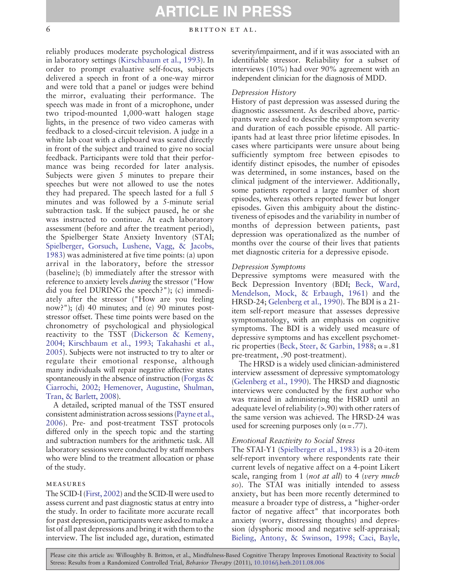#### $\delta$  britton et al.

reliably produces moderate psychological distress in laboratory settings [\(Kirschbaum et al., 1993\)](#page-13-0). In order to prompt evaluative self-focus, subjects delivered a speech in front of a one-way mirror and were told that a panel or judges were behind the mirror, evaluating their performance. The speech was made in front of a microphone, under two tripod-mounted 1,000-watt halogen stage lights, in the presence of two video cameras with feedback to a closed-circuit television. A judge in a white lab coat with a clipboard was seated directly in front of the subject and trained to give no social feedback. Participants were told that their performance was being recorded for later analysis. Subjects were given 5 minutes to prepare their speeches but were not allowed to use the notes they had prepared. The speech lasted for a full 5 minutes and was followed by a 5-minute serial subtraction task. If the subject paused, he or she was instructed to continue. At each laboratory assessment (before and after the treatment period), the Spielberger State Anxiety Inventory (STAI; [Spielberger, Gorsuch, Lushene, Vagg, & Jacobs,](#page-15-0) [1983\)](#page-15-0) was administered at five time points: (a) upon arrival in the laboratory, before the stressor (baseline); (b) immediately after the stressor with reference to anxiety levels during the stressor ("How did you feel DURING the speech?"); (c) immediately after the stressor ("How are you feeling now?"); (d) 40 minutes; and (e) 90 minutes poststressor offset. These time points were based on the chronometry of psychological and physiological reactivity to the TSST ([Dickerson & Kemeny,](#page-12-0) [2004; Kirschbaum et al., 1993; Takahashi et al.,](#page-12-0) [2005\)](#page-12-0). Subjects were not instructed to try to alter or regulate their emotional response, although many individuals will repair negative affective states spontaneously in the absence of instruction [\(Forgas &](#page-12-0) [Ciarrochi, 2002; Hemenover, Augustine, Shulman,](#page-12-0) [Tran, & Barlett, 2008](#page-12-0)).

A detailed, scripted manual of the TSST ensured consistent administration across sessions [\(Payne et al.,](#page-14-0) [2006](#page-14-0)). Pre- and post-treatment TSST protocols differed only in the speech topic and the starting and subtraction numbers for the arithmetic task. All laboratory sessions were conducted by staff members who were blind to the treatment allocation or phase of the study.

#### **MEASURES**

The SCID-I [\(First, 2002](#page-12-0)) and the SCID-II were used to assess current and past diagnostic status at entry into the study. In order to facilitate more accurate recall for past depression, participants were asked to make a list of all past depressions and bring it with them to the interview. The list included age, duration, estimated severity/impairment, and if it was associated with an identifiable stressor. Reliability for a subset of interviews (10%) had over 90% agreement with an independent clinician for the diagnosis of MDD.

#### Depression History

History of past depression was assessed during the diagnostic assessment. As described above, participants were asked to describe the symptom severity and duration of each possible episode. All participants had at least three prior lifetime episodes. In cases where participants were unsure about being sufficiently symptom free between episodes to identify distinct episodes, the number of episodes was determined, in some instances, based on the clinical judgment of the interviewer. Additionally, some patients reported a large number of short episodes, whereas others reported fewer but longer episodes. Given this ambiguity about the distinctiveness of episodes and the variability in number of months of depression between patients, past depression was operationalized as the number of months over the course of their lives that patients met diagnostic criteria for a depressive episode.

#### Depression Symptoms

Depressive symptoms were measured with the Beck Depression Inventory (BDI; [Beck, Ward,](#page-11-0) [Mendelson, Mock, & Erbaugh, 1961\)](#page-11-0) and the HRSD-24; [Gelenberg et al., 1990](#page-12-0)). The BDI is a 21 item self-report measure that assesses depressive symptomatology, with an emphasis on cognitive symptoms. The BDI is a widely used measure of depressive symptoms and has excellent psychomet-ric properties [\(Beck, Steer, & Garbin, 1988](#page-11-0);  $\alpha = .81$ pre-treatment, .90 post-treatment).

The HRSD is a widely used clinician-administered interview assessment of depressive symptomatology [\(Gelenberg et al., 1990](#page-12-0)). The HRSD and diagnostic interviews were conducted by the first author who was trained in administering the HSRD until an adequate level of reliability (>.90) with other raters of the same version was achieved. The HRSD-24 was used for screening purposes only ( $\alpha = .77$ ).

#### Emotional Reactivity to Social Stress

The STAI-Y1 [\(Spielberger et al., 1983\)](#page-15-0) is a 20-item self-report inventory where respondents rate their current levels of negative affect on a 4-point Likert scale, ranging from 1 (not at all) to 4 (very much so). The STAI was initially intended to assess anxiety, but has been more recently determined to measure a broader type of distress, a "higher-order factor of negative affect" that incorporates both anxiety (worry, distressing thoughts) and depression (dysphoric mood and negative self-appraisal; [Bieling, Antony, & Swinson, 1998; Caci, Bayle,](#page-11-0)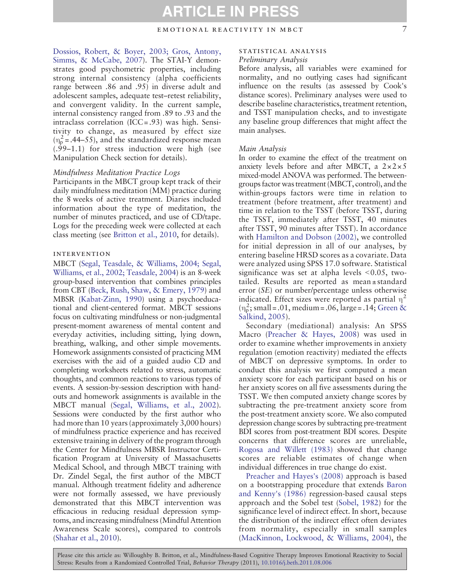#### emotional reactivity in mbct 7

[Dossios, Robert, & Boyer, 2003; Gros, Antony,](#page-11-0) [Simms, & McCabe, 2007\)](#page-11-0). The STAI-Y demonstrates good psychometric properties, including strong internal consistency (alpha coefficients range between .86 and .95) in diverse adult and adolescent samples, adequate test–retest reliability, and convergent validity. In the current sample, internal consistency ranged from .89 to .93 and the  $intractass correlation (ICC=.93) was high. Sensi$ tivity to change, as measured by effect size  $(\eta_{\rm p}^2 = .44 - 55)$ , and the standardized response mean (.99–1.1) for stress induction were high (see Manipulation Check section for details).

#### Mindfulness Meditation Practice Logs

Participants in the MBCT group kept track of their daily mindfulness meditation (MM) practice during the 8 weeks of active treatment. Diaries included information about the type of meditation, the number of minutes practiced, and use of CD/tape. Logs for the preceding week were collected at each class meeting (see [Britton et al., 2010,](#page-12-0) for details).

#### intervention

MBCT ([Segal, Teasdale, & Williams, 2004; Segal,](#page-15-0) [Williams, et al., 2002; Teasdale, 2004\)](#page-15-0) is an 8-week group-based intervention that combines principles from CBT ([Beck, Rush, Shaw, & Emery, 1979](#page-11-0)) and MBSR ([Kabat-Zinn, 1990\)](#page-13-0) using a psychoeducational and client-centered format. MBCT sessions focus on cultivating mindfulness or non-judgmental present-moment awareness of mental content and everyday activities, including sitting, lying down, breathing, walking, and other simple movements. Homework assignments consisted of practicing MM exercises with the aid of a guided audio CD and completing worksheets related to stress, automatic thoughts, and common reactions to various types of events. A session-by-session description with handouts and homework assignments is available in the MBCT manual ([Segal, Williams, et al., 2002\)](#page-15-0). Sessions were conducted by the first author who had more than 10 years (approximately 3,000 hours) of mindfulness practice experience and has received extensive training in delivery of the program through the Center for Mindfulness MBSR Instructor Certification Program at University of Massachusetts Medical School, and through MBCT training with Dr. Zindel Segal, the first author of the MBCT manual. Although treatment fidelity and adherence were not formally assessed, we have previously demonstrated that this MBCT intervention was efficacious in reducing residual depression symptoms, and increasing mindfulness (Mindful Attention Awareness Scale scores), compared to controls [\(Shahar et al., 2010](#page-15-0)).

#### statistical analysis

#### Preliminary Analysis

Before analysis, all variables were examined for normality, and no outlying cases had significant influence on the results (as assessed by Cook's distance scores). Preliminary analyses were used to describe baseline characteristics, treatment retention, and TSST manipulation checks, and to investigate any baseline group differences that might affect the main analyses.

#### Main Analysis

In order to examine the effect of the treatment on anxiety levels before and after MBCT, a  $2 \times 2 \times 5$ mixed-model ANOVA was performed. The betweengroups factor was treatment (MBCT, control), and the within-groups factors were time in relation to treatment (before treatment, after treatment) and time in relation to the TSST (before TSST, during the TSST, immediately after TSST, 40 minutes after TSST, 90 minutes after TSST). In accordance with [Hamilton and Dobson \(2002\)](#page-13-0), we controlled for initial depression in all of our analyses, by entering baseline HRSD scores as a covariate. Data were analyzed using SPSS 17.0 software. Statistical significance was set at alpha levels  $<0.05$ , twotailed. Results are reported as mean ± standard error (SE) or number/percentage unless otherwise indicated. Effect sizes were reported as partial  $\eta^2$  $(\eta_P^2; \text{small} = .01, \text{medium} = .06, \text{large} = .14; \text{Green} \&$ [Salkind, 2005](#page-12-0)).

Secondary (mediational) analysis: An SPSS Macro [\(Preacher & Hayes, 2008](#page-14-0)) was used in order to examine whether improvements in anxiety regulation (emotion reactivity) mediated the effects of MBCT on depressive symptoms. In order to conduct this analysis we first computed a mean anxiety score for each participant based on his or her anxiety scores on all five assessments during the TSST. We then computed anxiety change scores by subtracting the pre-treatment anxiety score from the post-treatment anxiety score. We also computed depression change scores by subtracting pre-treatment BDI scores from post-treatment BDI scores. Despite concerns that difference scores are unreliable, [Rogosa and Willett \(1983\)](#page-14-0) showed that change scores are reliable estimates of change when individual differences in true change do exist.

[Preacher and Hayes's \(2008\)](#page-14-0) approach is based on a bootstrapping procedure that extends [Baron](#page-11-0) [and Kenny's \(1986\)](#page-11-0) regression-based causal steps approach and the Sobel test ([Sobel, 1982\)](#page-15-0) for the significance level of indirect effect. In short, because the distribution of the indirect effect often deviates from normality, especially in small samples [\(MacKinnon, Lockwood, & Williams, 2004\)](#page-13-0), the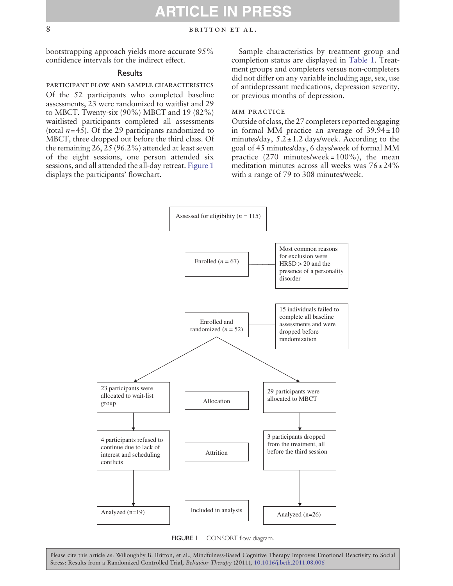### 8 britton et al.

bootstrapping approach yields more accurate 95% confidence intervals for the indirect effect.

### **Results**

### participant flow and sample characteristics

Of the 52 participants who completed baseline assessments, 23 were randomized to waitlist and 29 to MBCT. Twenty-six (90%) MBCT and 19 (82%) waitlisted participants completed all assessments (total  $n=45$ ). Of the 29 participants randomized to MBCT, three dropped out before the third class. Of the remaining 26, 25 (96.2%) attended at least seven of the eight sessions, one person attended six sessions, and all attended the all-day retreat. Figure 1 displays the participants' flowchart.

Sample characteristics by treatment group and completion status are displayed in [Table 1](#page-8-0). Treatment groups and completers versus non-completers did not differ on any variable including age, sex, use of antidepressant medications, depression severity, or previous months of depression.

### mm practice

Outside of class, the 27 completers reported engaging in formal MM practice an average of  $39.94 \pm 10$ minutes/day,  $5.2 \pm 1.2$  days/week. According to the goal of 45 minutes/day, 6 days/week of formal MM practice  $(270 \text{ minutes/week} = 100\%)$ , the mean meditation minutes across all weeks was  $76\pm24\%$ with a range of 79 to 308 minutes/week.



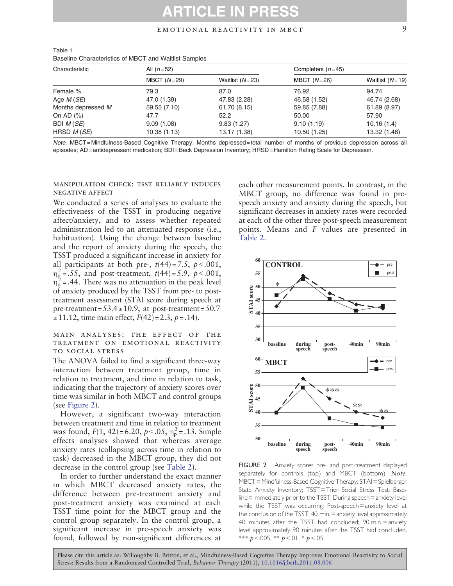### emotional reactivity in mbct 9

| Characteristic             | All $(n=52)$  |                   | Completers $(n=45)$ |                   |  |
|----------------------------|---------------|-------------------|---------------------|-------------------|--|
|                            | MBCT $(N=29)$ | Waitlist $(N=23)$ | MBCT $(N=26)$       | Waitlist $(N=19)$ |  |
| Female %                   | 79.3          | 87.0              | 76.92               | 94.74             |  |
| Age $M(SE)$                | 47.0 (1.39)   | 47.83 (2.28)      | 46.58 (1.52)        | 46.74 (2.68)      |  |
| Months depressed M         | 59.55 (7.10)  | 61.70 (8.15)      | 59.85 (7.88)        | 61.89 (8.97)      |  |
| On AD $(\%)$               | 47.7          | 52.2              | 50.00               | 57.90             |  |
| BDI <i>M</i> ( <i>SE</i> ) | 9.09(1.08)    | 9.83(1.27)        | 9.10(1.19)          | 10.16(1.4)        |  |
| HRSD $M$ (SE)              | 10.38(1.13)   | 13.17 (1.38)      | 10.50 (1.25)        | 13.32 (1.48)      |  |

<span id="page-8-0"></span>Table 1 Baseline Characteristics of MBCT and Waitlist Samples

Note. MBCT=Mindfulness-Based Cognitive Therapy; Months depressed=total number of months of previous depression across all episodes; AD=antidepressant medication; BDI=Beck Depression Inventory; HRSD=Hamilton Rating Scale for Depression.

#### manipulation check: tsst reliably induces negative affect

We conducted a series of analyses to evaluate the effectiveness of the TSST in producing negative affect/anxiety, and to assess whether repeated administration led to an attenuated response (i.e., habituation). Using the change between baseline and the report of anxiety during the speech, the TSST produced a significant increase in anxiety for all participants at both pre-,  $t(44) = 7.5$ ,  $p < .001$ ,  $\eta_{\rm p}^2 = .55$ , and post-treatment,  $t(44) = 5.9$ ,  $p < .001$ ,  $\eta_{\rm p}^2$  = .44. There was no attenuation in the peak level of anxiety produced by the TSST from pre- to posttreatment assessment (STAI score during speech at pre-treatment= $53.4 \pm 10.9$ , at post-treatment= $50.7$  $\pm$  11.12, time main effect,  $F(42) = 2.3$ ,  $p = .14$ ).

main analyses: the effect of the treatment on emotional reactivity to social stress

The ANOVA failed to find a significant three-way interaction between treatment group, time in relation to treatment, and time in relation to task, indicating that the trajectory of anxiety scores over time was similar in both MBCT and control groups (see Figure 2).

However, a significant two-way interaction between treatment and time in relation to treatment was found,  $F(1, 42) = 6.20, p < .05, \eta_p^2 = .13$ . Simple effects analyses showed that whereas average anxiety rates (collapsing across time in relation to task) decreased in the MBCT group, they did not decrease in the control group (see [Table 2\)](#page-9-0).

In order to further understand the exact manner in which MBCT decreased anxiety rates, the difference between pre-treatment anxiety and post-treatment anxiety was examined at each TSST time point for the MBCT group and the control group separately. In the control group, a significant increase in pre-speech anxiety was found, followed by non-significant differences at

each other measurement points. In contrast, in the MBCT group, no difference was found in prespeech anxiety and anxiety during the speech, but significant decreases in anxiety rates were recorded at each of the other three post-speech measurement points. Means and F values are presented in [Table 2.](#page-9-0)



FIGURE 2 Anxiety scores pre- and post-treatment displayed separately for controls (top) and MBCT (bottom). Note. MBCT = Mindfulness-Based Cognitive Therapy; STAI = Spielberger State Anxiety Inventory; TSST= Trier Social Stress Test; Base $line =$  immediately prior to the TSST; During speech  $=$  anxiety level while the TSST was occurring; Post-speech = anxiety level at the conclusion of the TSST; 40 min. = anxiety level approximately 40 minutes after the TSST had concluded; 90 min. = anxiety level approximately 90 minutes after the TSST had concluded. \*\*\*  $p < .005$ , \*\*  $p < .01$ , \*  $p < .05$ .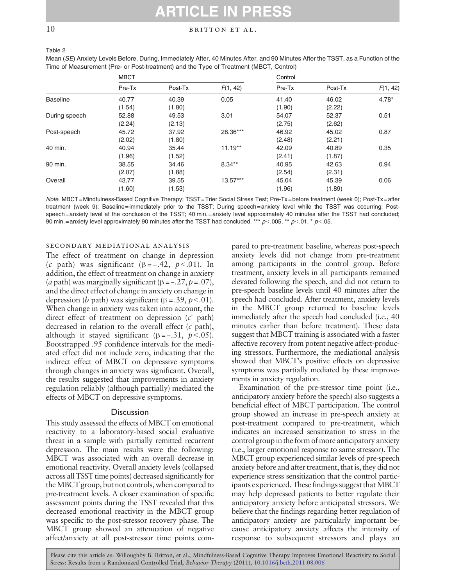### <span id="page-9-0"></span>10 **britton ET AL.**

Table 2

Mean (SE) Anxiety Levels Before, During, Immediately After, 40 Minutes After, and 90 Minutes After the TSST, as a Function of the Time of Measurement (Pre- or Post-treatment) and the Type of Treatment (MBCT, Control)

|                 | <b>MBCT</b> |         |            | Control |         |          |
|-----------------|-------------|---------|------------|---------|---------|----------|
|                 | Pre-Tx      | Post-Tx | F(1, 42)   | Pre-Tx  | Post-Tx | F(1, 42) |
| <b>Baseline</b> | 40.77       | 40.39   | 0.05       | 41.40   | 46.02   | $4.78*$  |
|                 | (1.54)      | (1.80)  |            | (1.90)  | (2.22)  |          |
| During speech   | 52.88       | 49.53   | 3.01       | 54.07   | 52.37   | 0.51     |
|                 | (2.24)      | (2.13)  |            | (2.75)  | (2.62)  |          |
| Post-speech     | 45.72       | 37.92   | 28.36***   | 46.92   | 45.02   | 0.87     |
|                 | (2.02)      | (1.80)  |            | (2.48)  | (2.21)  |          |
| 40 min.         | 40.94       | 35.44   | $11.19**$  | 42.09   | 40.89   | 0.35     |
|                 | (1.96)      | (1.52)  |            | (2.41)  | (1.87)  |          |
| 90 min.         | 38.55       | 34.46   | $8.34***$  | 40.95   | 42.63   | 0.94     |
|                 | (2.07)      | (1.88)  |            | (2.54)  | (2.31)  |          |
| Overall         | 43.77       | 39.55   | $13.57***$ | 45.04   | 45.39   | 0.06     |
|                 | (1.60)      | (1.53)  |            | (1.96)  | (1.89)  |          |

Note. MBCT=Mindfulness-Based Cognitive Therapy; TSST=Trier Social Stress Test; Pre-Tx=before treatment (week 0); Post-Tx=after treatment (week 9); Baseline= immediately prior to the TSST; During speech= anxiety level while the TSST was occurring; Postspeech= anxiety level at the conclusion of the TSST; 40 min.= anxiety level approximately 40 minutes after the TSST had concluded; 90 min. = anxiety level approximately 90 minutes after the TSST had concluded. \*\*\*  $p<.005$ , \*\*  $p<.01$ , \*  $p<.05$ .

### secondary mediational analysis

The effect of treatment on change in depression (c path) was significant ( $\beta = -0.42$ ,  $p < 0.01$ ). In addition, the effect of treatment on change in anxiety (*a* path) was marginally significant ( $\beta = -0.27$ ,  $p = 0.07$ ), and the direct effect of change in anxiety on change in depression (*b* path) was significant ( $\beta$ =.39,  $p$ <.01). When change in anxiety was taken into account, the direct effect of treatment on depression  $(c'$  path) decreased in relation to the overall effect  $(c \text{ path})$ , although it stayed significant ( $\beta = -.31$ ,  $p < .05$ ). Bootstrapped .95 confidence intervals for the mediated effect did not include zero, indicating that the indirect effect of MBCT on depressive symptoms through changes in anxiety was significant. Overall, the results suggested that improvements in anxiety regulation reliably (although partially) mediated the effects of MBCT on depressive symptoms.

### **Discussion**

This study assessed the effects of MBCT on emotional reactivity to a laboratory-based social evaluative threat in a sample with partially remitted recurrent depression. The main results were the following: MBCT was associated with an overall decrease in emotional reactivity. Overall anxiety levels (collapsed across all TSST time points) decreased significantly for theMBCT group, but not controls, when compared to pre-treatment levels. A closer examination of specific assessment points during the TSST revealed that this decreased emotional reactivity in the MBCT group was specific to the post-stressor recovery phase. The MBCT group showed an attenuation of negative affect/anxiety at all post-stressor time points compared to pre-treatment baseline, whereas post-speech anxiety levels did not change from pre-treatment among participants in the control group. Before treatment, anxiety levels in all participants remained elevated following the speech, and did not return to pre-speech baseline levels until 40 minutes after the speech had concluded. After treatment, anxiety levels in the MBCT group returned to baseline levels immediately after the speech had concluded (i.e., 40 minutes earlier than before treatment). These data suggest that MBCT training is associated with a faster affective recovery from potent negative affect-producing stressors. Furthermore, the mediational analysis showed that MBCT's positive effects on depressive symptoms was partially mediated by these improvements in anxiety regulation.

Examination of the pre-stressor time point (i.e., anticipatory anxiety before the speech) also suggests a beneficial effect of MBCT participation. The control group showed an increase in pre-speech anxiety at post-treatment compared to pre-treatment, which indicates an increased sensitization to stress in the control group in the form of more anticipatory anxiety (i.e., larger emotional response to same stressor). The MBCT group experienced similar levels of pre-speech anxiety before and after treatment, that is, they did not experience stress sensitization that the control participants experienced. These findings suggest that MBCT may help depressed patients to better regulate their anticipatory anxiety before anticipated stressors. We believe that the findings regarding better regulation of anticipatory anxiety are particularly important because anticipatory anxiety affects the intensity of response to subsequent stressors and plays an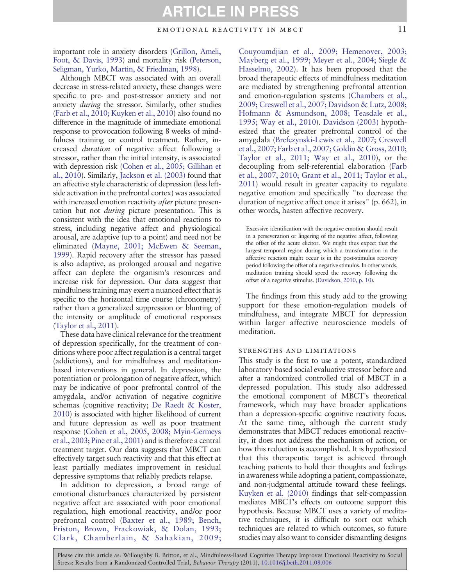#### emotional reactivity in mbct 11

important role in anxiety disorders [\(Grillon, Ameli,](#page-12-0) [Foot, & Davis, 1993](#page-12-0)) and mortality risk ([Peterson,](#page-14-0) [Seligman, Yurko, Martin, & Friedman, 1998](#page-14-0)).

Although MBCT was associated with an overall decrease in stress-related anxiety, these changes were specific to pre- and post-stressor anxiety and not anxiety during the stressor. Similarly, other studies [\(Farb et al., 2010; Kuyken et al., 2010](#page-12-0)) also found no difference in the magnitude of immediate emotional response to provocation following 8 weeks of mindfulness training or control treatment. Rather, increased duration of negative affect following a stressor, rather than the initial intensity, is associated with depression risk ([Cohen et al., 2005; Gillihan et](#page-12-0) [al., 2010\)](#page-12-0). Similarly, [Jackson et al. \(2003\)](#page-13-0) found that an affective style characteristic of depression (less leftside activation in the prefrontal cortex) was associated with increased emotion reactivity *after* picture presentation but not during picture presentation. This is consistent with the idea that emotional reactions to stress, including negative affect and physiological arousal, are adaptive (up to a point) and need not be eliminated ([Mayne, 2001; McEwen & Seeman,](#page-14-0) [1999\)](#page-14-0). Rapid recovery after the stressor has passed is also adaptive, as prolonged arousal and negative affect can deplete the organism's resources and increase risk for depression. Our data suggest that mindfulness training may exert a nuanced effect that is specific to the horizontal time course (chronometry) rather than a generalized suppression or blunting of the intensity or amplitude of emotional responses [\(Taylor et al., 2011\)](#page-15-0).

These data have clinical relevance for the treatment of depression specifically, for the treatment of conditions where poor affect regulation is a central target (addictions), and for mindfulness and meditationbased interventions in general. In depression, the potentiation or prolongation of negative affect, which may be indicative of poor prefrontal control of the amygdala, and/or activation of negative cognitive schemas (cognitive reactivity; [De Raedt & Koster,](#page-12-0) [2010\)](#page-12-0) is associated with higher likelihood of current and future depression as well as poor treatment response ([Cohen et al., 2005, 2008; Myin-Germeys](#page-12-0) [et al., 2003; Pine et al., 2001](#page-12-0)) and is therefore a central treatment target. Our data suggests that MBCT can effectively target such reactivity and that this effect at least partially mediates improvement in residual depressive symptoms that reliably predicts relapse.

In addition to depression, a broad range of emotional disturbances characterized by persistent negative affect are associated with poor emotional regulation, high emotional reactivity, and/or poor prefrontal control ([Baxter et al., 1989; Bench,](#page-11-0) [Friston, Brown, Frackowiak, & Dolan, 1993;](#page-11-0) [Clark, Chamberlain, & Sahakian, 2009;](#page-11-0) [Couyoumdjian et al., 2009; Hemenover, 2003;](#page-11-0) [Mayberg et al., 1999; Meyer et al., 2004; Siegle &](#page-11-0) [Hasselmo, 2002\)](#page-11-0). It has been proposed that the broad therapeutic effects of mindfulness meditation are mediated by strengthening prefrontal attention and emotion-regulation systems [\(Chambers et al.,](#page-12-0) [2009; Creswell et al., 2007; Davidson & Lutz, 2008;](#page-12-0) [Hofmann & Asmundson, 2008; Teasdale et al.,](#page-12-0) [1995; Way et al., 2010](#page-12-0)). [Davidson \(2003\)](#page-12-0) hypothesized that the greater prefrontal control of the amygdala [\(Brefczynski-Lewis et al., 2007; Creswell](#page-11-0) [et al., 2007; Farb et al., 2007; Goldin & Gross, 2010;](#page-11-0) [Taylor et al., 2011; Way et al., 2010](#page-11-0)), or the decoupling from self-referential elaboration [\(Farb](#page-12-0) [et al., 2007, 2010; Grant et al., 2011; Taylor et al.,](#page-12-0) [2011](#page-12-0)) would result in greater capacity to regulate negative emotion and specifically "to decrease the duration of negative affect once it arises" (p. 662), in other words, hasten affective recovery.

Excessive identification with the negative emotion should result in a perseveration or lingering of the negative affect, following the offset of the acute elicitor. We might thus expect that the largest temporal region during which a transformation in the affective reaction might occur is in the post-stimulus recovery period following the offset of a negative stimulus. In other words, meditation training should speed the recovery following the offset of a negative stimulus. [\(Davidson, 2010, p. 10\)](#page-12-0).

The findings from this study add to the growing support for these emotion-regulation models of mindfulness, and integrate MBCT for depression within larger affective neuroscience models of meditation.

#### strengths and limitations

This study is the first to use a potent, standardized laboratory-based social evaluative stressor before and after a randomized controlled trial of MBCT in a depressed population. This study also addressed the emotional component of MBCT's theoretical framework, which may have broader applications than a depression-specific cognitive reactivity focus. At the same time, although the current study demonstrates that MBCT reduces emotional reactivity, it does not address the mechanism of action, or how this reduction is accomplished. It is hypothesized that this therapeutic target is achieved through teaching patients to hold their thoughts and feelings in awareness while adopting a patient, compassionate, and non-judgmental attitude toward these feelings. [Kuyken et al. \(2010\)](#page-13-0) findings that self-compassion mediates MBCT's effects on outcome support this hypothesis. Because MBCT uses a variety of meditative techniques, it is difficult to sort out which techniques are related to which outcomes, so future studies may also want to consider dismantling designs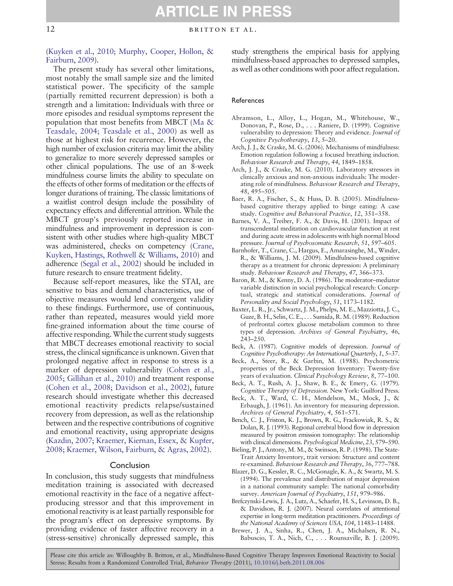### <span id="page-11-0"></span>[\(Kuyken et al., 2010; Murphy, Cooper, Hollon, &](#page-13-0) [Fairburn, 2009](#page-13-0)).

The present study has several other limitations, most notably the small sample size and the limited statistical power. The specificity of the sample (partially remitted recurrent depression) is both a strength and a limitation: Individuals with three or more episodes and residual symptoms represent the population that most benefits from MBCT ([Ma &](#page-13-0) [Teasdale, 2004; Teasdale et al., 2000\)](#page-13-0) as well as those at highest risk for recurrence. However, the high number of exclusion criteria may limit the ability to generalize to more severely depressed samples or other clinical populations. The use of an 8-week mindfulness course limits the ability to speculate on the effects of other forms of meditation or the effects of longer durations of training. The classic limitations of a waitlist control design include the possibility of expectancy effects and differential attrition. While the MBCT group's previously reported increase in mindfulness and improvement in depression is consistent with other studies where high-quality MBCT was administered, checks on competency [\(Crane,](#page-12-0) [Kuyken, Hastings, Rothwell & Williams, 2010](#page-12-0)) and adherence [\(Segal et al., 2002\)](#page-15-0) should be included in future research to ensure treatment fidelity.

Because self-report measures, like the STAI, are sensitive to bias and demand characteristics, use of objective measures would lend convergent validity to these findings. Furthermore, use of continuous, rather than repeated, measures would yield more fine-grained information about the time course of affective responding.While the current study suggests that MBCT decreases emotional reactivity to social stress, the clinical significance is unknown. Given that prolonged negative affect in response to stress is a marker of depression vulnerability [\(Cohen et al.,](#page-12-0) [2005; Gillihan et al., 2010\)](#page-12-0) and treatment response [\(Cohen et al., 2008; Davidson et al., 2002](#page-12-0)), future research should investigate whether this decreased emotional reactivity predicts relapse/sustained recovery from depression, as well as the relationship between and the respective contributions of cognitive and emotional reactivity, using appropriate designs [\(Kazdin, 2007; Kraemer, Kiernan, Essex, & Kupfer,](#page-13-0) [2008; Kraemer, Wilson, Fairburn, & Agras, 2002\)](#page-13-0).

#### **Conclusion**

In conclusion, this study suggests that mindfulness meditation training is associated with decreased emotional reactivity in the face of a negative affectproducing stressor and that this improvement in emotional reactivity is at least partially responsible for the program's effect on depressive symptoms. By providing evidence of faster affective recovery in a (stress-sensitive) chronically depressed sample, this study strengthens the empirical basis for applying mindfulness-based approaches to depressed samples, as well as other conditions with poor affect regulation.

#### References

- Abramson, L., Alloy, L., Hogan, M., Whitehouse, W., Donovan, P., Rose, D., . . . Raniere, D. (1999). Cognitive vulnerability to depression: Theory and evidence. Journal of Cognitive Psychotherapy, 13, 5–20.
- Arch, J. J., & Craske, M. G. (2006). Mechanisms of mindfulness: Emotion regulation following a focused breathing induction. Behaviour Research and Therapy, 44, 1849–1858.
- Arch, J. J., & Craske, M. G. (2010). Laboratory stressors in clinically anxious and non-anxious individuals: The moderating role of mindfulness. Behaviour Research and Therapy, 48, 495–505.
- Baer, R. A., Fischer, S., & Huss, D. B. (2005). Mindfulnessbased cognitive therapy applied to binge eating: A case study. Cognitive and Behavioral Practice, 12, 351–358.
- Barnes, V. A., Treiber, F. A., & Davis, H. (2001). Impact of transcendental meditation on cardiovascular function at rest and during acute stress in adolescents with high normal blood pressure. Journal of Psychosomatic Research, 51, 597–605.
- Barnhofer, T., Crane, C., Hargus, E., Amarasinghe, M., Winder, R., & Williams, J. M. (2009). Mindfulness-based cognitive therapy as a treatment for chronic depression: A preliminary study. Behaviour Research and Therapy, 47, 366–373.
- Baron, R. M., & Kenny, D. A. (1986). The moderator–mediator variable distinction in social psychological research: Conceptual, strategic and statistical considerations. Journal of Personality and Social Psychology, 51, 1173–1182.
- Baxter, L. R., Jr., Schwartz, J. M., Phelps, M. E., Mazziotta, J. C., Guze, B. H., Selin, C. E., . . . Sumida, R. M. (1989). Reduction of prefrontal cortex glucose metabolism common to three types of depression. Archives of General Psychiatry, 46, 243–250.
- Beck, A. (1987). Cognitive models of depression. Journal of Cognitive Psychotherapy: An International Quarterly, 1, 5–37.
- Beck, A., Steer, R., & Garbin, M. (1988). Psychometric properties of the Beck Depression Inventory: Twenty-five years of evaluation. Clinical Psychology Review, 8, 77–100.
- Beck, A. T., Rush, A. J., Shaw, B. E., & Emery, G. (1979). Cognitive Therapy of Depression. New York: Guilford Press.
- Beck, A. T., Ward, C. H., Mendelson, M., Mock, J., & Erbaugh, J. (1961). An inventory for measuring depression. Archives of General Psychiatry, 4, 561–571.
- Bench, C. J., Friston, K. J., Brown, R. G., Frackowiak, R. S., & Dolan, R. J. (1993). Regional cerebral blood flow in depression measured by positron emission tomography: The relationship with clinical dimensions. Psychological Medicine, 23, 579–590.
- Bieling, P. J., Antony, M. M., & Swinson, R. P. (1998). The State-Trait Anxiety Inventory, trait version: Structure and content re-examined. Behaviour Research and Therapy, 36, 777–788.
- Blazer, D. G., Kessler, R. C., McGonagle, K. A., & Swartz, M. S. (1994). The prevalence and distribution of major depression in a national community sample: The national comorbidity survey. American Journal of Psychiatry, 151, 979–986.
- Brefczynski-Lewis, J. A., Lutz, A., Schaefer, H. S., Levinson, D. B., & Davidson, R. J. (2007). Neural correlates of attentional expertise in long-term meditation practitioners. Proceedings of the National Academy of Sciences USA, 104, 11483–11488.
- Brewer, J. A., Sinha, R., Chen, J. A., Michalsen, R. N., Babuscio, T. A., Nich, C., . . . Rounsaville, B. J. (2009).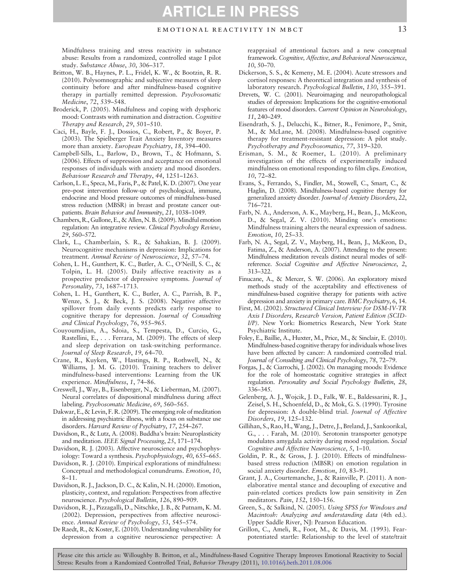<span id="page-12-0"></span>Mindfulness training and stress reactivity in substance abuse: Results from a randomized, controlled stage I pilot study. Substance Abuse, 30, 306–317.

- Britton, W. B., Haynes, P. L., Fridel, K. W., & Bootzin, R. R. (2010). Polysomnographic and subjective measures of sleep continuity before and after mindfulness-based cognitive therapy in partially remitted depression. Psychosomatic Medicine, 72, 539–548.
- Broderick, P. (2005). Mindfulness and coping with dysphoric mood: Contrasts with rumination and distraction. Cognitive Therapy and Research, 29, 501–510.
- Caci, H., Bayle, F. J., Dossios, C., Robert, P., & Boyer, P. (2003). The Spielberger Trait Anxiety Inventory measures more than anxiety. European Psychiatry, 18, 394–400.
- Campbell-Sills, L., Barlow, D., Brown, T., & Hofmann, S. (2006). Effects of suppression and acceptance on emotional responses of individuals with anxiety and mood disorders. Behaviour Research and Therapy, 44, 1251–1263.
- Carlson, L. E., Speca, M., Faris, P., & Patel, K. D. (2007). One year pre–post intervention follow-up of psychological, immune, endocrine and blood pressure outcomes of mindfulness-based stress reduction (MBSR) in breast and prostate cancer outpatients. Brain Behavior and Immunity, 21, 1038–1049.
- Chambers, R., Gullone, E., & Allen, N. B. (2009).Mindful emotion regulation: An integrative review. Clinical Psychology Review, 29, 560–572.
- Clark, L., Chamberlain, S. R., & Sahakian, B. J. (2009). Neurocognitive mechanisms in depression: Implications for treatment. Annual Review of Neuroscience, 32, 57–74.
- Cohen, L. H., Gunthert, K. C., Butler, A. C., O'Neill, S. C., & Tolpin, L. H. (2005). Daily affective reactivity as a prospective predictor of depressive symptoms. Journal of Personality, 73, 1687–1713.
- Cohen, L. H., Gunthert, K. C., Butler, A. C., Parrish, B. P., Wenze, S. J., & Beck, J. S. (2008). Negative affective spillover from daily events predicts early response to cognitive therapy for depression. Journal of Consulting and Clinical Psychology, 76, 955–965.
- Couyoumdjian, A., Sdoia, S., Tempesta, D., Curcio, G., Rastellini, E., . . . Ferrara, M. (2009). The effects of sleep and sleep deprivation on task-switching performance. Journal of Sleep Research, 19, 64–70.
- Crane, R., Kuyken, W., Hastings, R. P., Rothwell, N., & Williams, J. M. G. (2010). Training teachers to deliver mindfulness-based interventions: Learning from the UK experience. Mindfulness, 1, 74–86.
- Creswell, J., Way, B., Eisenberger, N., & Lieberman, M. (2007). Neural correlates of dispositional mindfulness during affect labeling. Psychosomatic Medicine, 69, 560–565.
- Dakwar, E., & Levin, F. R. (2009). The emerging role of meditation in addressing psychiatric illness, with a focus on substance use disorders. Harvard Review of Psychiatry, 17, 254–267.
- Davidson, R., & Lutz, A. (2008). Buddha's brain: Neuroplasticity and meditation. IEEE Signal Processing, 25, 171–174.
- Davidson, R. J. (2003). Affective neuroscience and psychophysiology: Toward a synthesis. Psychophysiology, 40, 655–665.
- Davidson, R. J. (2010). Empirical explorations of mindfulness: Conceptual and methodological conundrums. Emotion, 10, 8–11.
- Davidson, R. J., Jackson, D. C., & Kalin, N. H. (2000). Emotion, plasticity, context, and regulation: Perspectives from affective neuroscience. Psychological Bulletin, 126, 890–909.
- Davidson, R. J., Pizzagalli, D., Nitschke, J. B., & Putnam, K. M. (2002). Depression, perspectives from affective neuroscience. Annual Review of Psychology, 53, 545–574.
- De Raedt, R., & Koster, E. (2010). Understanding vulnerability for depression from a cognitive neuroscience perspective: A

reappraisal of attentional factors and a new conceptual framework. Cognitive, Affective, and Behavioral Neuroscience, 10, 50–70.

- Dickerson, S. S., & Kemeny, M. E. (2004). Acute stressors and cortisol responses: A theoretical integration and synthesis of laboratory research. Psychological Bulletin, 130, 355–391.
- Drevets, W. C. (2001). Neuroimaging and neuropathological studies of depression: Implications for the cognitive-emotional features of mood disorders. Current Opinion in Neurobiology, 11, 240–249.
- Eisendrath, S. J., Delucchi, K., Bitner, R., Fenimore, P., Smit, M., & McLane, M. (2008). Mindfulness-based cognitive therapy for treatment-resistant depression: A pilot study. Psychotherapy and Psychosomatics, 77, 319–320.
- Erisman, S. M., & Roemer, L. (2010). A preliminary investigation of the effects of experimentally induced mindfulness on emotional responding to film clips. Emotion, 10, 72–82.
- Evans, S., Ferrando, S., Findler, M., Stowell, C., Smart, C., & Haglin, D. (2008). Mindfulness-based cognitive therapy for generalized anxiety disorder. Journal of Anxiety Disorders, 22, 716–721.
- Farb, N. A., Anderson, A. K., Mayberg, H., Bean, J., McKeon, D., & Segal, Z. V. (2010). Minding one's emotions: Mindfulness training alters the neural expression of sadness. Emotion, 10, 25–33.
- Farb, N. A., Segal, Z. V., Mayberg, H., Bean, J., McKeon, D., Fatima, Z., & Anderson, A. (2007). Attending to the present: Mindfulness meditation reveals distinct neural modes of selfreference. Social Cognitive and Affective Neuroscience, 2, 313–322.
- Finucane, A., & Mercer, S. W. (2006). An exploratory mixed methods study of the acceptability and effectiveness of mindfulness-based cognitive therapy for patients with active depression and anxiety in primary care. BMC Psychiatry, 6, 14.
- First, M. (2002). Structured Clinical Interview for DSM-IV-TR Axis I Disorders, Research Version, Patient Edition (SCID-I/P). New York: Biometrics Research, New York State Psychiatric Institute.
- Foley, E., Baillie, A., Huxter, M., Price, M., & Sinclair, E. (2010). Mindfulness-based cognitive therapy for individuals whose lives have been affected by cancer: A randomized controlled trial. Journal of Consulting and Clinical Psychology, 78, 72–79.
- Forgas, J., & Ciarrochi, J. (2002). On managing moods: Evidence for the role of homeostatic cognitive strategies in affect regulation. Personality and Social Psychology Bulletin, 28, 336–345.
- Gelenberg, A. J., Wojcik, J. D., Falk, W. E., Baldessarini, R. J., Zeisel, S. H., Schoenfeld, D., & Mok, G. S. (1990). Tyrosine for depression: A double-blind trial. Journal of Affective Disorders, 19, 125–132.
- Gillihan, S., Rao, H., Wang, J., Detre, J., Breland, J., Sankoorikal, G., . . . Farah, M. (2010). Serotonin transporter genotype modulates amygdala activity during mood regulation. Social Cognitive and Affective Neuroscience, 5, 1–10.
- Goldin, P. R., & Gross, J. J. (2010). Effects of mindfulnessbased stress reduction (MBSR) on emotion regulation in social anxiety disorder. Emotion, 10, 83–91.
- Grant, J. A., Courtemanche, J., & Rainville, P. (2011). A nonelaborative mental stance and decoupling of executive and pain-related cortices predicts low pain sensitivity in Zen meditators. Pain, 152, 150–156.
- Green, S., & Salkind, N. (2005). Using SPSS for Windows and Macintosh: Analyzing and understanding data (4th ed.). Upper Saddle River, NJ: Pearson Education.
- Grillon, C., Ameli, R., Foot, M., & Davis, M. (1993). Fearpotentiated startle: Relationship to the level of state/trait

Please cite this article as: Willoughby B. Britton, et al., Mindfulness-Based Cognitive Therapy Improves Emotional Reactivity to Social Stress: Results from a Randomized Controlled Trial, Behavior Therapy (2011), [10.1016/j.beth.2011.08.006](http://dx.doi.org/10.1016/j.beth.2011.08.006)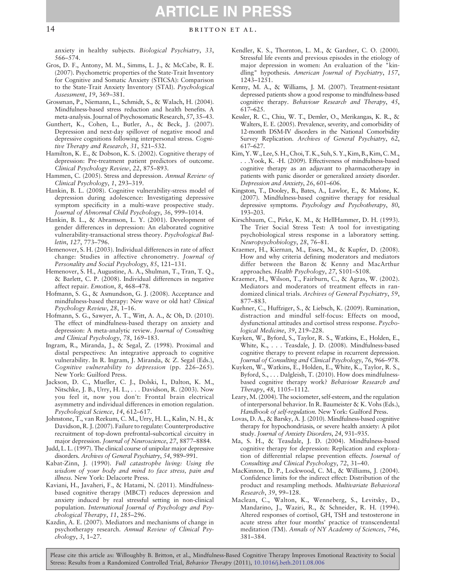<span id="page-13-0"></span>anxiety in healthy subjects. Biological Psychiatry, 33, 566–574.

- Gros, D. F., Antony, M. M., Simms, L. J., & McCabe, R. E. (2007). Psychometric properties of the State-Trait Inventory for Cognitive and Somatic Anxiety (STICSA): Comparison to the State-Trait Anxiety Inventory (STAI). Psychological Assessment, 19, 369–381.
- Grossman, P., Niemann, L., Schmidt, S., & Walach, H. (2004). Mindfulness-based stress reduction and health benefits. A meta-analysis. Journal of Psychosomatic Research, 57, 35–43.
- Gunthert, K., Cohen, L., Butler, A., & Beck, J. (2007). Depression and next-day spillover of negative mood and depressive cognitions following interpersonal stress. Cognitive Therapy and Research, 31, 521–532.
- Hamilton, K. E., & Dobson, K. S. (2002). Cognitive therapy of depression: Pre-treatment patient predictors of outcome. Clinical Psychology Review, 22, 875–893.
- Hammen, C. (2005). Stress and depression. Annual Review of Clinical Psychology, 1, 293–319.
- Hankin, B. L. (2008). Cognitive vulnerability-stress model of depression during adolescence: Investigating depressive symptom specificity in a multi-wave prospective study. Journal of Abnormal Child Psychology, 36, 999–1014.
- Hankin, B. L., & Abramson, L. Y. (2001). Development of gender differences in depression: An elaborated cognitive vulnerability-transactional stress theory. Psychological Bulletin, 127, 773–796.
- Hemenover, S. H. (2003). Individual differences in rate of affect change: Studies in affective chronometry. Journal of Personality and Social Psychology, 85, 121–131.
- Hemenover, S. H., Augustine, A. A., Shulman, T., Tran, T. Q., & Barlett, C. P. (2008). Individual differences in negative affect repair. Emotion, 8, 468–478.
- Hofmann, S. G., & Asmundson, G. J. (2008). Acceptance and mindfulness-based therapy: New wave or old hat? Clinical Psychology Review, 28, 1–16.
- Hofmann, S. G., Sawyer, A. T., Witt, A. A., & Oh, D. (2010). The effect of mindfulness-based therapy on anxiety and depression: A meta-analytic review. Journal of Consulting and Clinical Psychology, 78, 169–183.
- Ingram, R., Miranda, J., & Segal, Z. (1998). Proximal and distal perspectives: An integrative approach to cognitive vulnerability. In R. Ingram, J. Miranda, & Z. Segal (Eds.), Cognitive vulnerability to depression (pp. 226–265). New York: Guilford Press.
- Jackson, D. C., Mueller, C. J., Dolski, I., Dalton, K. M., Nitschke, J. B., Urry, H. L., . . . Davidson, R. (2003). Now you feel it, now you don't: Frontal brain electrical asymmetry and individual differences in emotion regulation. Psychological Science, 14, 612–617.
- Johnstone, T., van Reekum, C. M., Urry, H. L., Kalin, N. H., & Davidson, R. J. (2007). Failure to regulate: Counterproductive recruitment of top-down prefrontal–subcortical circuitry in major depression. Journal of Neuroscience, 27, 8877–8884.
- Judd, L. L. (1997). The clinical course of unipolar major depressive disorders. Archives of General Psychiatry, 54, 989–991.
- Kabat-Zinn, J. (1990). Full catastrophe living: Using the wisdom of your body and mind to face stress, pain and illness. New York: Delacorte Press.
- Kaviani, H., Javaheri, F., & Hatami, N. (2011). Mindfulnessbased cognitive therapy (MBCT) reduces depression and anxiety induced by real stressful setting in non-clinical population. International Journal of Psychology and Psychological Therapy, 11, 285–296.
- Kazdin, A. E. (2007). Mediators and mechanisms of change in psychotherapy research. Annual Review of Clinical Psychology, 3, 1–27.
- Kendler, K. S., Thornton, L. M., & Gardner, C. O. (2000). Stressful life events and previous episodes in the etiology of major depression in women: An evaluation of the "kindling" hypothesis. American Journal of Psychiatry, 157, 1243–1251.
- Kenny, M. A., & Williams, J. M. (2007). Treatment-resistant depressed patients show a good response to mindfulness-based cognitive therapy. Behaviour Research and Therapy, 45, 617–625.
- Kessler, R. C., Chiu, W. T., Demler, O., Merikangas, K. R., & Walters, E. E. (2005). Prevalence, severity, and comorbidity of 12-month DSM-IV disorders in the National Comorbidity Survey Replication. Archives of General Psychiatry, 62, 617–627.
- Kim, Y.W., Lee, S. H., Choi, T. K., Suh, S. Y., Kim, B., Kim, C.M., . . .Yook, K. -H. (2009). Effectiveness of mindfulness-based cognitive therapy as an adjuvant to pharmacotherapy in patients with panic disorder or generalized anxiety disorder. Depression and Anxiety, 26, 601–606.
- Kingston, T., Dooley, B., Bates, A., Lawlor, E., & Malone, K. (2007). Mindfulness-based cognitive therapy for residual depressive symptoms. Psychology and Psychotherapy, 80, 193–203.
- Kirschbaum, C., Pirke, K. M., & HellHammer, D. H. (1993). The Trier Social Stress Test: A tool for investigating psychobiological stress response in a laboratory setting. Neuropsychobiology, 28, 76–81.
- Kraemer, H., Kiernan, M., Essex, M., & Kupfer, D. (2008). How and why criteria defining moderators and mediators differ between the Baron & Kenny and MacArthur approaches. Health Psychology, 27, S101–S108.
- Kraemer, H., Wilson, T., Fairburn, C., & Agras, W. (2002). Mediators and moderators of treatment effects in randomized clinical trials. Archives of General Psychiatry, 59, 877–883.
- Kuehner, C., Huffziger, S., & Liebsch, K. (2009). Rumination, distraction and mindful self-focus: Effects on mood, dysfunctional attitudes and cortisol stress response. Psychological Medicine, 39, 219–228.
- Kuyken, W., Byford, S., Taylor, R. S., Watkins, E., Holden, E., White, K., . . . Teasdale, J. D. (2008). Mindfulness-based cognitive therapy to prevent relapse in recurrent depression. Journal of Consulting and Clinical Psychology, 76, 966–978.
- Kuyken, W., Watkins, E., Holden, E., White, K., Taylor, R. S., Byford, S., . . . Dalgleish, T. (2010). How does mindfulnessbased cognitive therapy work? Behaviour Research and Therapy, 48, 1105–1112.
- Leary, M. (2004). The sociometer, self-esteem, and the regulation of interpersonal behavior. In R. Baumeister & K. Vohs (Eds.), Handbook of self-regulation. New York: Guilford Press.
- Lovas, D. A., & Barsky, A. J. (2010). Mindfulness-based cognitive therapy for hypochondriasis, or severe health anxiety: A pilot study. Journal of Anxiety Disorders, 24, 931–935.
- Ma, S. H., & Teasdale, J. D. (2004). Mindfulness-based cognitive therapy for depression: Replication and exploration of differential relapse prevention effects. Journal of Consulting and Clinical Psychology, 72, 31–40.
- MacKinnon, D. P., Lockwood, C. M., & Williams, J. (2004). Confidence limits for the indirect effect: Distribution of the product and resampling methods. Multivariate Behavioral Research, 39, 99–128.
- Maclean, C., Walton, K., Wenneberg, S., Levitsky, D., Mandarino, J., Waziri, R., & Schneider, R. H. (1994). Altered responses of cortisol, GH, TSH and testosterone in acute stress after four months' practice of transcendental meditation (TM). Annals of NY Academy of Sciences, 746, 381–384.

Please cite this article as: Willoughby B. Britton, et al., Mindfulness-Based Cognitive Therapy Improves Emotional Reactivity to Social Stress: Results from a Randomized Controlled Trial, Behavior Therapy (2011), [10.1016/j.beth.2011.08.006](http://dx.doi.org/10.1016/j.beth.2011.08.006)

# **ARTICLE IN PRESS**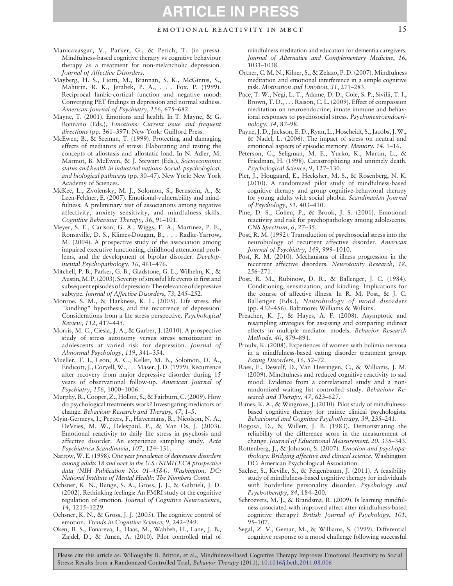#### emotional reactivity in mbct 15

- <span id="page-14-0"></span>Manicavasgar, V., Parker, G., & Perich, T. (in press). Mindfulness-based cognitive therapy vs cognitive behaviour therapy as a treatment for non-melancholic depression. Journal of Affective Disorders.
- Mayberg, H. S., Liotti, M., Brannan, S. K., McGinnis, S., Mahurin, R. K., Jerabek, P. A., . . . Fox, P. (1999). Reciprocal limbic-cortical function and negative mood: Converging PET findings in depression and normal sadness. American Journal of Psychiatry, 156, 675–682.
- Mayne, T. (2001). Emotions and health. In T. Mayne, & G. Bonnano (Eds.), Emotions: Current issue and frequent directions (pp. 361–397). New York: Guilford Press.
- McEwen, B., & Seeman, T. (1999). Protecting and damaging effects of mediators of stress: Elaborating and testing the concepts of allostasis and allostatic load. In N. Adler, M. Marmot, B. McEwen, & J. Stewart (Eds.), Socioeconomic status and health in industrial nations: Social, psychological, and biological pathways (pp. 30–47). New York: New York Academy of Sciences.
- McKee, L., Zvolensky, M. J., Solomon, S., Bernstein, A., & Leen-Feldner, E. (2007). Emotional-vulnerability and mindfulness: A preliminary test of associations among negative affectivity, anxiety sensitivity, and mindfulness skills. Cognitive Behaviour Therapy, 36, 91–101.
- Meyer, S. E., Carlson, G. A., Wiggs, E. A., Martinez, P. E., Ronsaville, D. S., Klimes-Dougan, B., . . . Radke-Yarrow, M. (2004). A prospective study of the association among impaired executive functioning, childhood attentional problems, and the development of bipolar disorder. Developmental Psychopathology, 16, 461–476.
- Mitchell, P. B., Parker, G. B., Gladstone, G. L., Wilhelm, K., & Austin, M. P. (2003). Severity of stressful life events in first and subsequent episodes of depression: The relevance of depressive subtype. Journal of Affective Disorders, 73, 245–252.
- Monroe, S. M., & Harkness, K. L. (2005). Life stress, the "kindling" hypothesis, and the recurrence of depression: Considerations from a life stress perspective. Psychological Review, 112, 417–445.
- Morris, M. C., Ciesla, J. A., & Garber, J. (2010). A prospective study of stress autonomy versus stress sensitization in adolescents at varied risk for depression. Journal of Abnormal Psychology, 119, 341–354.
- Mueller, T. I., Leon, A. C., Keller, M. B., Solomon, D. A., Endicott, J., Coryell, W., . . . Maser, J. D. (1999). Recurrence after recovery from major depressive disorder during 15 years of observational follow-up. American Journal of Psychiatry, 156, 1000–1006.
- Murphy, R., Cooper, Z., Hollon, S., & Fairburn, C. (2009). How do psychological treatments work? Investigating mediators of change. Behaviour Research and Therapy, 47, 1–5.
- Myin-Germeys, I., Peeters, F., Havermans, R., Nicolson, N. A., DeVries, M. W., Delespaul, P., & Van Os, J. (2003). Emotional reactivity to daily life stress in psychosis and affective disorder: An experience sampling study. Acta Psychiatrica Scandinavia, 107, 124–131.
- Narrow, W. E. (1998). One year prevalence of depressive disorders among adults 18 and over in the U.S.: NIMH ECA prospective data (NIH Publication No. 01–4584). Washington, DC: National Institute of Mental Health: The Numbers Count.
- Ochsner, K. N., Bunge, S. A., Gross, J. J., & Gabrieli, J. D. (2002). Rethinking feelings: An FMRI study of the cognitive regulation of emotion. Journal of Cognitive Neuroscience, 14, 1215–1229.
- Ochsner, K. N., & Gross, J. J. (2005). The cognitive control of emotion. Trends in Cognitive Science, 9, 242–249.
- Oken, B. S., Fonareva, I., Haas, M., Wahbeh, H., Lane, J. B., Zajdel, D., & Amen, A. (2010). Pilot controlled trial of

mindfulness meditation and education for dementia caregivers. Journal of Alternative and Complementary Medicine, 16, 1031–1038.

- Ortner, C. M. N., Kilner, S., & Zelazo, P. D. (2007). Mindfulness meditation and emotional interference in a simple cognitive task. Motivation and Emotion, 31, 271–283.
- Pace, T. W., Negi, L. T., Adame, D. D., Cole, S. P., Sivilli, T. I., Brown, T. D., . . . Raison, C. L. (2009). Effect of compassion meditation on neuroendocrine, innate immune and behavioral responses to psychosocial stress. Psychoneuroendocrinology, 34, 87–98.
- Payne, J. D., Jackson, E. D., Ryan, L., Hoscheidt, S., Jacobs, J.W., & Nadel, L. (2006). The impact of stress on neutral and emotional aspects of episodic memory. Memory, 14, 1–16.
- Peterson, C., Seligman, M. E., Yurko, K., Martin, L., & Friedman, H. (1998). Catastrophizing and untimely death. Psychological Science, 9, 127–130.
- Piet, J., Hougaard, E., Hecksher, M. S., & Rosenberg, N. K. (2010). A randomized pilot study of mindfulness-based cognitive therapy and group cognitive-behavioral therapy for young adults with social phobia. Scandinavian Journal of Psychology, 51, 403–410.
- Pine, D. S., Cohen, P., & Brook, J. S. (2001). Emotional reactivity and risk for psychopathology among adolescents. CNS Spectrum, 6, 27–35.
- Post, R. M. (1992). Transduction of psychosocial stress into the neurobiology of recurrent affective disorder. American Journal of Psychiatry, 149, 999–1010.
- Post, R. M. (2010). Mechanisms of illness progression in the recurrent affective disorders. Neurotoxity Research, 18, 256–271.
- Post, R. M., Rubinow, D. R., & Ballenger, J. C. (1984). Conditioning, sensitization, and kindling: Implications for the course of affective illness. In R. M. Post, & J. C. Ballenger (Eds.), Neurobiology of mood disorders (pp. 432–456). Baltimore: Williams & Wilkins.
- Preacher, K. J., & Hayes, A. F. (2008). Asymptotic and resampling strategies for assessing and comparing indirect effects in multiple mediator models. Behavior Research Methods, 40, 879–891.
- Proulx, K. (2008). Experiences of women with bulimia nervosa in a mindfulness-based eating disorder treatment group. Eating Disorders, 16, 52–72.
- Raes, F., Dewulf, D., Van Heeringen, C., & Williams, J. M. (2009). Mindfulness and reduced cognitive reactivity to sad mood: Evidence from a correlational study and a nonrandomized waiting list controlled study. Behaviour Research and Therapy, 47, 623–627.
- Rimes, K. A., & Wingrove, J. (2010). Pilot study of mindfulnessbased cognitive therapy for trainee clinical psychologists. Behavioural and Cognitive Psychotherapy, 39, 235–241.
- Rogosa, D., & Willett, J. B. (1983). Demonstrating the reliability of the difference score in the measurement of change. Journal of Educational Measurement, 20, 335–343.
- Rottenberg, J., & Johnson, S. (2007). Emotion and psychopathology: Bridging affective and clinical science. Washington DC: American Psychological Association.
- Sachse, S., Keville, S., & Feigenbaum, J. (2011). A feasibility study of mindfulness-based cognitive therapy for individuals with borderline personality disorder. Psychology and Psychotherapy, 84, 184–200.
- Schroevers, M. J., & Brandsma, R. (2009). Is learning mindfulness associated with improved affect after mindfulness-based cognitive therapy? British Journal of Psychology, 101, 95–107.
- Segal, Z. V., Gemar, M., & Williams, S. (1999). Differential cognitive response to a mood challenge following successful

Please cite this article as: Willoughby B. Britton, et al., Mindfulness-Based Cognitive Therapy Improves Emotional Reactivity to Social Stress: Results from a Randomized Controlled Trial, Behavior Therapy (2011), [10.1016/j.beth.2011.08.006](http://dx.doi.org/10.1016/j.beth.2011.08.006)